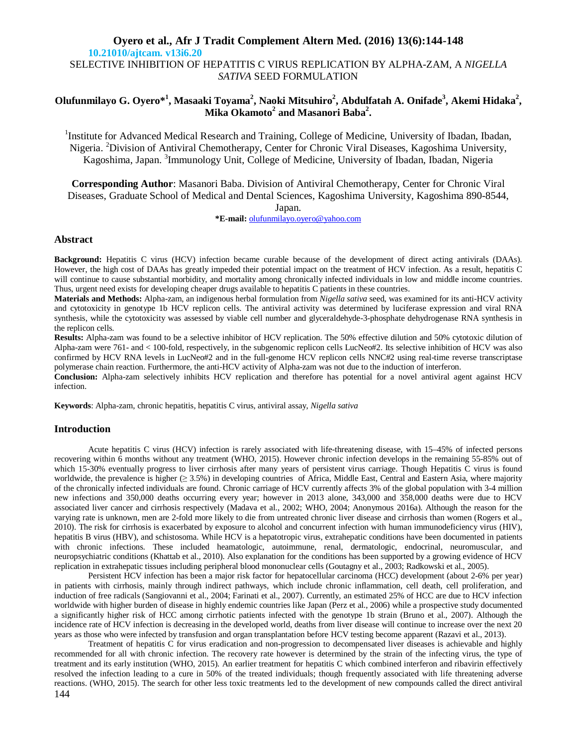## **Oyero et al., Afr J Tradit Complement Altern Med. (2016) 13(6):144-148 10.21010/ajtcam. v13i6.20** SELECTIVE INHIBITION OF HEPATITIS C VIRUS REPLICATION BY ALPHA-ZAM, A *NIGELLA SATIVA* SEED FORMULATION

# **Olufunmilayo G. Oyero\* 1 , Masaaki Toyama<sup>2</sup> , Naoki Mitsuhiro<sup>2</sup> , Abdulfatah A. Onifade<sup>3</sup> , Akemi Hidaka<sup>2</sup> , Mika Okamoto<sup>2</sup> and Masanori Baba<sup>2</sup> .**

<sup>1</sup>Institute for Advanced Medical Research and Training, College of Medicine, University of Ibadan, Ibadan, Nigeria. <sup>2</sup>Division of Antiviral Chemotherapy, Center for Chronic Viral Diseases, Kagoshima University, Kagoshima, Japan. <sup>3</sup>Immunology Unit, College of Medicine, University of Ibadan, Ibadan, Nigeria

**Corresponding Author**: Masanori Baba. Division of Antiviral Chemotherapy, Center for Chronic Viral Diseases, Graduate School of Medical and Dental Sciences, Kagoshima University, Kagoshima 890-8544,

Japan.

**\*E-mail:** olufunmilayo.oyero@yahoo.com

## **Abstract**

**Background:** Hepatitis C virus (HCV) infection became curable because of the development of direct acting antivirals (DAAs). However, the high cost of DAAs has greatly impeded their potential impact on the treatment of HCV infection. As a result, hepatitis C will continue to cause substantial morbidity, and mortality among chronically infected individuals in low and middle income countries. Thus, urgent need exists for developing cheaper drugs available to hepatitis C patients in these countries.

**Materials and Methods:** Alpha-zam, an indigenous herbal formulation from *Nigella sativa* seed, was examined for its anti-HCV activity and cytotoxicity in genotype 1b HCV replicon cells. The antiviral activity was determined by luciferase expression and viral RNA synthesis, while the cytotoxicity was assessed by viable cell number and glyceraldehyde-3-phosphate dehydrogenase RNA synthesis in the replicon cells.

**Results:** Alpha-zam was found to be a selective inhibitor of HCV replication. The 50% effective dilution and 50% cytotoxic dilution of Alpha-zam were 761- and < 100-fold, respectively, in the subgenomic replicon cells LucNeo#2. Its selective inhibition of HCV was also confirmed by HCV RNA levels in LucNeo#2 and in the full-genome HCV replicon cells NNC#2 using real-time reverse transcriptase polymerase chain reaction. Furthermore, the anti-HCV activity of Alpha-zam was not due to the induction of interferon.

**Conclusion:** Alpha-zam selectively inhibits HCV replication and therefore has potential for a novel antiviral agent against HCV infection.

**Keywords**: Alpha-zam, chronic hepatitis, hepatitis C virus, antiviral assay, *Nigella sativa*

## **Introduction**

Acute hepatitis C virus (HCV) infection is rarely associated with life-threatening disease, with 15–45% of infected persons recovering within 6 months without any treatment (WHO, 2015). However chronic infection develops in the remaining 55-85% out of which 15-30% eventually progress to liver cirrhosis after many years of persistent virus carriage. Though Hepatitis C virus is found worldwide, the prevalence is higher  $(≥ 3.5%)$  in developing countries of Africa, Middle East, Central and Eastern Asia, where majority of the chronically infected individuals are found. Chronic carriage of HCV currently affects 3% of the global population with 3-4 million new infections and 350,000 deaths occurring every year; however in 2013 alone, 343,000 and 358,000 deaths were due to HCV associated liver cancer and cirrhosis respectively (Madava et al., 2002; WHO, 2004; Anonymous 2016a). Although the reason for the varying rate is unknown, men are 2-fold more likely to die from untreated chronic liver disease and cirrhosis than women (Rogers et al., 2010). The risk for cirrhosis is exacerbated by exposure to alcohol and concurrent infection with human immunodeficiency virus (HIV), hepatitis B virus (HBV), and schistosoma. While HCV is a hepatotropic virus, extrahepatic conditions have been documented in patients with chronic infections. These included heamatologic, autoimmune, renal, dermatologic, endocrinal, neuromuscular, and neuropsychiatric conditions (Khattab et al., 2010). Also explanation for the conditions has been supported by a growing evidence of HCV replication in extrahepatic tissues including peripheral blood mononuclear cells (Goutagny et al., 2003; Radkowski et al., 2005).

Persistent HCV infection has been a major risk factor for hepatocellular carcinoma (HCC) development (about 2-6% per year) in patients with cirrhosis, mainly through indirect pathways, which include chronic inflammation, cell death, cell proliferation, and induction of free radicals (Sangiovanni et al., 2004; Farinati et al., 2007). Currently, an estimated 25% of HCC are due to HCV infection worldwide with higher burden of disease in highly endemic countries like Japan (Perz et al., 2006) while a prospective study documented a significantly higher risk of HCC among cirrhotic patients infected with the genotype 1b strain (Bruno et al., 2007). Although the incidence rate of HCV infection is decreasing in the developed world, deaths from liver disease will continue to increase over the next 20 years as those who were infected by transfusion and organ transplantation before HCV testing become apparent (Razavi et al., 2013).

144 Treatment of hepatitis C for virus eradication and non-progression to decompensated liver diseases is achievable and highly recommended for all with chronic infection. The recovery rate however is determined by the strain of the infecting virus, the type of treatment and its early institution (WHO, 2015). An earlier treatment for hepatitis C which combined interferon and ribavirin effectively resolved the infection leading to a cure in 50% of the treated individuals; though frequently associated with life threatening adverse reactions. (WHO, 2015). The search for other less toxic treatments led to the development of new compounds called the direct antiviral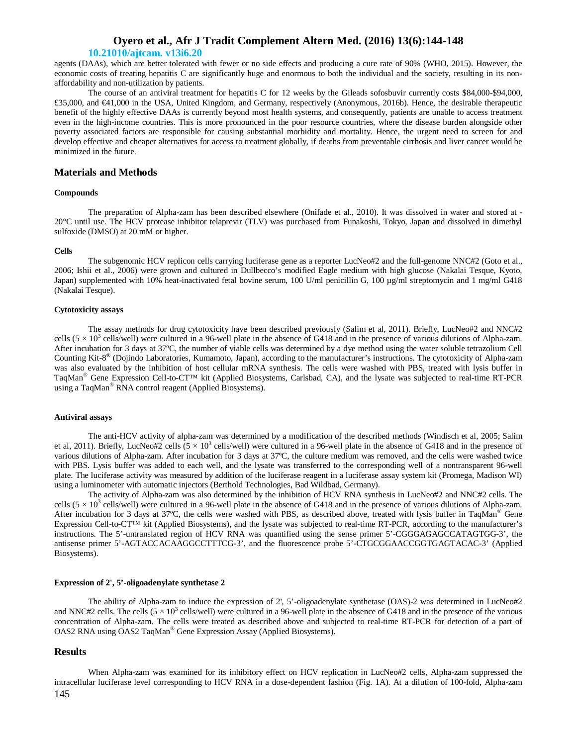### **10.21010/ajtcam. v13i6.20**

agents (DAAs), which are better tolerated with fewer or no side effects and producing a cure rate of 90% (WHO, 2015). However, the economic costs of treating hepatitis C are significantly huge and enormous to both the individual and the society, resulting in its nonaffordability and non-utilization by patients.

The course of an antiviral treatment for hepatitis C for 12 weeks by the Gileads sofosbuvir currently costs \$84,000-\$94,000, £35,000, and €41,000 in the USA, United Kingdom, and Germany, respectively (Anonymous, 2016b). Hence, the desirable therapeutic benefit of the highly effective DAAs is currently beyond most health systems, and consequently, patients are unable to access treatment even in the high-income countries. This is more pronounced in the poor resource countries, where the disease burden alongside other poverty associated factors are responsible for causing substantial morbidity and mortality. Hence, the urgent need to screen for and develop effective and cheaper alternatives for access to treatment globally, if deaths from preventable cirrhosis and liver cancer would be minimized in the future.

## **Materials and Methods**

### **Compounds**

The preparation of Alpha-zam has been described elsewhere (Onifade et al., 2010). It was dissolved in water and stored at - 20°C until use. The HCV protease inhibitor telaprevir (TLV) was purchased from Funakoshi, Tokyo, Japan and dissolved in dimethyl sulfoxide (DMSO) at 20 mM or higher.

#### **Cells**

The subgenomic HCV replicon cells carrying luciferase gene as a reporter LucNeo#2 and the full-genome NNC#2 (Goto et al., 2006; Ishii et al., 2006) were grown and cultured in Dullbecco's modified Eagle medium with high glucose (Nakalai Tesque, Kyoto, Japan) supplemented with 10% heat-inactivated fetal bovine serum, 100 U/ml penicillin G, 100 µg/ml streptomycin and 1 mg/ml G418 (Nakalai Tesque).

### **Cytotoxicity assays**

The assay methods for drug cytotoxicity have been described previously (Salim et al, 2011). Briefly, LucNeo#2 and NNC#2 cells  $(5 \times 10^3 \text{ cells/well})$  were cultured in a 96-well plate in the absence of G418 and in the presence of various dilutions of Alpha-zam. After incubation for 3 days at 37ºC, the number of viable cells was determined by a dye method using the water soluble tetrazolium Cell Counting Kit-8 ® (Dojindo Laboratories, Kumamoto, Japan), according to the manufacturer's instructions. The cytotoxicity of Alpha-zam was also evaluated by the inhibition of host cellular mRNA synthesis. The cells were washed with PBS, treated with lysis buffer in TaqMan® Gene Expression Cell-to-CT™ kit (Applied Biosystems, Carlsbad, CA), and the lysate was subjected to real-time RT-PCR using a TaqMan® RNA control reagent (Applied Biosystems).

#### **Antiviral assays**

The anti-HCV activity of alpha-zam was determined by a modification of the described methods (Windisch et al, 2005; Salim et al, 2011). Briefly, LucNeo#2 cells  $(5 \times 10^3$  cells/well) were cultured in a 96-well plate in the absence of G418 and in the presence of various dilutions of Alpha-zam. After incubation for 3 days at 37ºC, the culture medium was removed, and the cells were washed twice with PBS. Lysis buffer was added to each well, and the lysate was transferred to the corresponding well of a nontransparent 96-well plate. The luciferase activity was measured by addition of the luciferase reagent in a luciferase assay system kit (Promega, Madison WI) using a luminometer with automatic injectors (Berthold Technologies, Bad Wildbad, Germany).

The activity of Alpha-zam was also determined by the inhibition of HCV RNA synthesis in LucNeo#2 and NNC#2 cells. The cells  $(5 \times 10^3 \text{ cells/well})$  were cultured in a 96-well plate in the absence of G418 and in the presence of various dilutions of Alpha-zam. After incubation for 3 days at 37ºC, the cells were washed with PBS, as described above, treated with lysis buffer in TaqMan® Gene Expression Cell-to-CT™ kit (Applied Biosystems), and the lysate was subjected to real-time RT-PCR, according to the manufacturer's instructions. The 5'-untranslated region of HCV RNA was quantified using the sense primer 5'-CGGGAGAGCCATAGTGG-3', the antisense primer 5'-AGTACCACAAGGCCTTTCG-3', and the fluorescence probe 5'-CTGCGGAACCGGTGAGTACAC-3' (Applied Biosystems).

### **Expression of 2', 5'-oligoadenylate synthetase 2**

The ability of Alpha-zam to induce the expression of 2', 5'-oligoadenylate synthetase (OAS)-2 was determined in LucNeo#2 and NNC#2 cells. The cells  $(5 \times 10^3 \text{ cells/well})$  were cultured in a 96-well plate in the absence of G418 and in the presence of the various concentration of Alpha-zam. The cells were treated as described above and subjected to real-time RT-PCR for detection of a part of OAS2 RNA using OAS2 TaqMan® Gene Expression Assay (Applied Biosystems).

### **Results**

145 When Alpha-zam was examined for its inhibitory effect on HCV replication in LucNeo#2 cells, Alpha-zam suppressed the intracellular luciferase level corresponding to HCV RNA in a dose-dependent fashion (Fig. 1A). At a dilution of 100-fold, Alpha-zam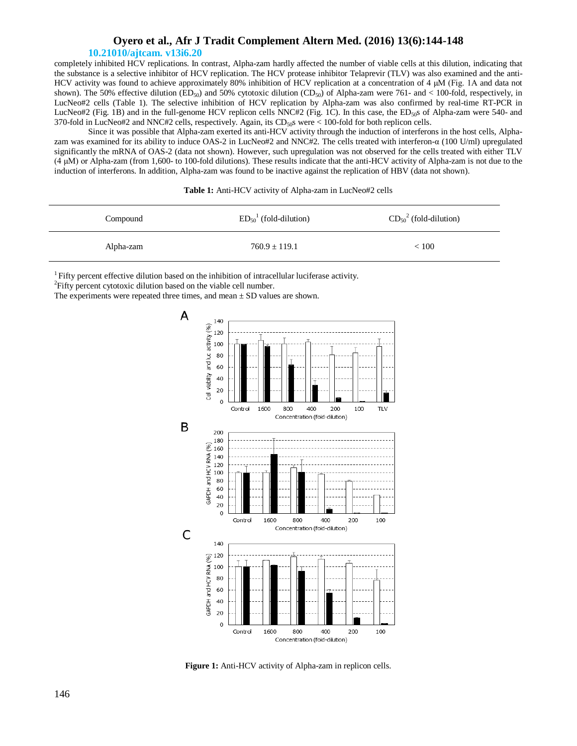## **10.21010/ajtcam. v13i6.20**

completely inhibited HCV replications. In contrast, Alpha-zam hardly affected the number of viable cells at this dilution, indicating that the substance is a selective inhibitor of HCV replication. The HCV protease inhibitor Telaprevir (TLV) was also examined and the anti-HCV activity was found to achieve approximately 80% inhibition of HCV replication at a concentration of 4 μM (Fig. 1A and data not shown). The 50% effective dilution (ED<sub>50</sub>) and 50% cytotoxic dilution (CD<sub>50</sub>) of Alpha-zam were 761- and < 100-fold, respectively, in LucNeo#2 cells (Table 1). The selective inhibition of HCV replication by Alpha-zam was also confirmed by real-time RT-PCR in LucNeo#2 (Fig. 1B) and in the full-genome HCV replicon cells  $NNC#2$  (Fig. 1C). In this case, the ED<sub>50</sub>s of Alpha-zam were 540- and 370-fold in LucNeo#2 and NNC#2 cells, respectively. Again, its  $CD<sub>50</sub>$ s were < 100-fold for both replicon cells.

Since it was possible that Alpha-zam exerted its anti-HCV activity through the induction of interferons in the host cells, Alphazam was examined for its ability to induce OAS-2 in LucNeo#2 and NNC#2. The cells treated with interferon-α (100 U/ml) upregulated significantly the mRNA of OAS-2 (data not shown). However, such upregulation was not observed for the cells treated with either TLV (4 μM) or Alpha-zam (from 1,600- to 100-fold dilutions). These results indicate that the anti-HCV activity of Alpha-zam is not due to the induction of interferons. In addition, Alpha-zam was found to be inactive against the replication of HBV (data not shown).

| Compound  | $ED501$ (fold-dilution) | $CD_{50}^2$ (fold-dilution) |
|-----------|-------------------------|-----------------------------|
| Alpha-zam | $760.9 + 119.1$         | < 100                       |

<sup>1</sup>Fifty percent effective dilution based on the inhibition of intracellular luciferase activity.

<sup>2</sup>Fifty percent cytotoxic dilution based on the viable cell number.

The experiments were repeated three times, and mean  $\pm$  SD values are shown.



**Figure 1:** Anti-HCV activity of Alpha-zam in replicon cells.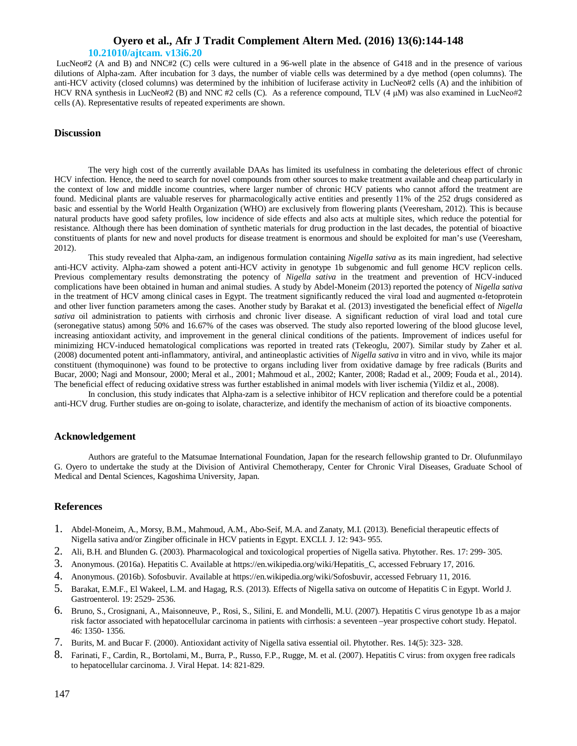## **10.21010/ajtcam. v13i6.20**

LucNeo#2 (A and B) and NNC#2 (C) cells were cultured in a 96-well plate in the absence of G418 and in the presence of various dilutions of Alpha-zam. After incubation for 3 days, the number of viable cells was determined by a dye method (open columns). The anti-HCV activity (closed columns) was determined by the inhibition of luciferase activity in LucNeo#2 cells (A) and the inhibition of HCV RNA synthesis in LucNeo#2 (B) and NNC #2 cells (C). As a reference compound, TLV (4 μM) was also examined in LucNeo#2 cells (A). Representative results of repeated experiments are shown.

## **Discussion**

The very high cost of the currently available DAAs has limited its usefulness in combating the deleterious effect of chronic HCV infection. Hence, the need to search for novel compounds from other sources to make treatment available and cheap particularly in the context of low and middle income countries, where larger number of chronic HCV patients who cannot afford the treatment are found. Medicinal plants are valuable reserves for pharmacologically active entities and presently 11% of the 252 drugs considered as basic and essential by the World Health Organization (WHO) are exclusively from flowering plants (Veeresham, 2012). This is because natural products have good safety profiles, low incidence of side effects and also acts at multiple sites, which reduce the potential for resistance. Although there has been domination of synthetic materials for drug production in the last decades, the potential of bioactive constituents of plants for new and novel products for disease treatment is enormous and should be exploited for man's use (Veeresham, 2012).

This study revealed that Alpha-zam, an indigenous formulation containing *Nigella sativa* as its main ingredient, had selective anti-HCV activity. Alpha-zam showed a potent anti-HCV activity in genotype 1b subgenomic and full genome HCV replicon cells. Previous complementary results demonstrating the potency of *Nigella sativa* in the treatment and prevention of HCV-induced complications have been obtained in human and animal studies. A study by Abdel-Moneim (2013) reported the potency of *Nigella sativa* in the treatment of HCV among clinical cases in Egypt. The treatment significantly reduced the viral load and augmented α-fetoprotein and other liver function parameters among the cases. Another study by Barakat et al. (2013) investigated the beneficial effect of *Nigella sativa* oil administration to patients with cirrhosis and chronic liver disease. A significant reduction of viral load and total cure (seronegative status) among 50% and 16.67% of the cases was observed. The study also reported lowering of the blood glucose level, increasing antioxidant activity, and improvement in the general clinical conditions of the patients. Improvement of indices useful for minimizing HCV-induced hematological complications was reported in treated rats (Tekeoglu, 2007). Similar study by Zaher et al. (2008) documented potent anti-inflammatory, antiviral, and antineoplastic activities of *Nigella sativa* in vitro and in vivo, while its major constituent (thymoquinone) was found to be protective to organs including liver from oxidative damage by free radicals (Burits and Bucar, 2000; Nagi and Monsour, 2000; Meral et al., 2001; Mahmoud et al., 2002; Kanter, 2008; Radad et al., 2009; Fouda et al., 2014). The beneficial effect of reducing oxidative stress was further established in animal models with liver ischemia (Yildiz et al., 2008).

In conclusion, this study indicates that Alpha-zam is a selective inhibitor of HCV replication and therefore could be a potential anti-HCV drug. Further studies are on-going to isolate, characterize, and identify the mechanism of action of its bioactive components.

## **Acknowledgement**

Authors are grateful to the Matsumae International Foundation, Japan for the research fellowship granted to Dr. Olufunmilayo G. Oyero to undertake the study at the Division of Antiviral Chemotherapy, Center for Chronic Viral Diseases, Graduate School of Medical and Dental Sciences, Kagoshima University, Japan.

## **References**

- 1. Abdel-Moneim, A., Morsy, B.M., Mahmoud, A.M., Abo-Seif, M.A. and Zanaty, M.I. (2013). Beneficial therapeutic effects of Nigella sativa and/or Zingiber officinale in HCV patients in Egypt. EXCLI. J. 12: 943- 955.
- 2. Ali, B.H. and Blunden G. (2003). Pharmacological and toxicological properties of Nigella sativa. Phytother. Res. 17: 299- 305.
- 3. Anonymous. (2016a). Hepatitis C. Available at https://en.wikipedia.org/wiki/Hepatitis\_C, accessed February 17, 2016.
- 4. Anonymous. (2016b). Sofosbuvir. Available at https://en.wikipedia.org/wiki/Sofosbuvir, accessed February 11, 2016.
- 5. Barakat, E.M.F., El Wakeel, L.M. and Hagag, R.S. (2013). Effects of Nigella sativa on outcome of Hepatitis C in Egypt. World J. Gastroenterol. 19: 2529- 2536.
- 6. Bruno, S., Crosignani, A., Maisonneuve, P., Rosi, S., Silini, E. and Mondelli, M.U. (2007). Hepatitis C virus genotype 1b as a major risk factor associated with hepatocellular carcinoma in patients with cirrhosis: a seventeen –year prospective cohort study. Hepatol. 46: 1350- 1356.
- 7. Burits, M. and Bucar F. (2000). Antioxidant activity of Nigella sativa essential oil. Phytother. Res. 14(5): 323- 328.
- 8. Farinati, F., Cardin, R., Bortolami, M., Burra, P., Russo, F.P., Rugge, M. et al. (2007). Hepatitis C virus: from oxygen free radicals to hepatocellular carcinoma. J. Viral Hepat. 14: 821-829.